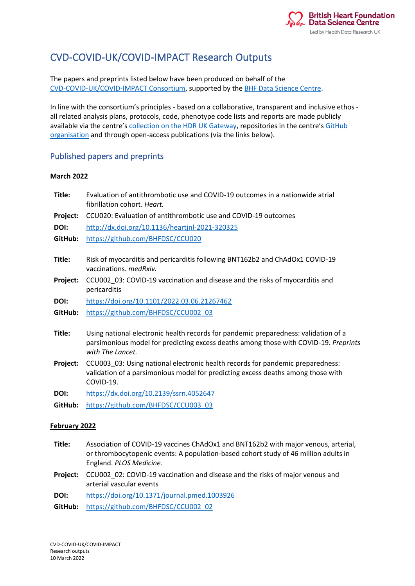

# CVD-COVID-UK/COVID-IMPACT Research Outputs

The papers and preprints listed below have been produced on behalf of the [CVD-COVID-UK/COVID-IMPACT Consortium,](https://www.hdruk.ac.uk/projects/cvd-covid-uk-project/) supported by th[e BHF Data Science Centre.](https://www.hdruk.ac.uk/helping-with-health-data/bhf-data-science-centre/)

In line with the consortium's principles - based on a collaborative, transparent and inclusive ethos all related analysis plans, protocols, code, phenotype code lists and reports are made publicly available via the centre's [collection on the HDR UK Gateway,](https://web.www.healthdatagateway.org/collection/3975719127757711) repositories in the centre's [GitHub](https://github.com/BHFDSC)  [organisation](https://github.com/BHFDSC) and through open-access publications (via the links below).

## Published papers and preprints

#### **March 2022**

- **Title:** Evaluation of antithrombotic use and COVID-19 outcomes in a nationwide atrial fibrillation cohort. *Heart.*
- **Project:** CCU020: Evaluation of antithrombotic use and COVID-19 outcomes

**DOI:** <http://dx.doi.org/10.1136/heartjnl-2021-320325>

- **GitHub:** <https://github.com/BHFDSC/CCU020>
- **Title:** Risk of myocarditis and pericarditis following BNT162b2 and ChAdOx1 COVID-19 vaccinations. *medRxiv.*
- **Project:** CCU002\_03: COVID-19 vaccination and disease and the risks of myocarditis and pericarditis

**DOI:** <https://doi.org/10.1101/2022.03.06.21267462>

- **GitHub:** [https://github.com/BHFDSC/CCU002\\_03](https://github.com/BHFDSC/CCU002_03)
- **Title:** Using national electronic health records for pandemic preparedness: validation of a parsimonious model for predicting excess deaths among those with COVID-19. *Preprints with The Lancet.*
- **Project:** CCU003\_03: Using national electronic health records for pandemic preparedness: validation of a parsimonious model for predicting excess deaths among those with COVID-19.
- **DOI:** <https://dx.doi.org/10.2139/ssrn.4052647>
- **GitHub:** [https://github.com/BHFDSC/CCU003\\_03](https://github.com/BHFDSC/CCU003_03)

#### **February 2022**

- **Title:** Association of COVID-19 vaccines ChAdOx1 and BNT162b2 with major venous, arterial, or thrombocytopenic events: A population-based cohort study of 46 million adults in England. *PLOS Medicine.*
- **Project:** CCU002\_02: COVID-19 vaccination and disease and the risks of major venous and arterial vascular events

**DOI:** <https://doi.org/10.1371/journal.pmed.1003926>

**GitHub:** [https://github.com/BHFDSC/CCU002\\_02](https://github.com/BHFDSC/CCU002_02)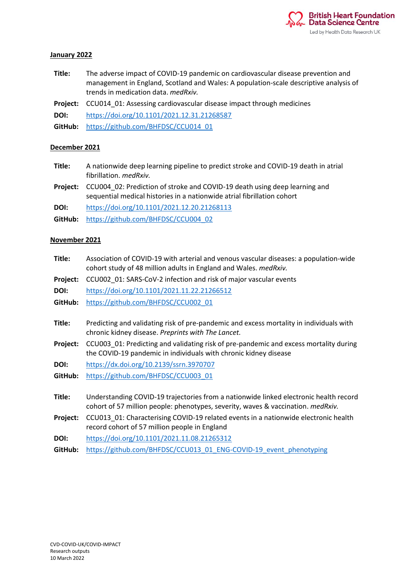

#### **January 2022**

- **Title:** The adverse impact of COVID-19 pandemic on cardiovascular disease prevention and management in England, Scotland and Wales: A population-scale descriptive analysis of trends in medication data. *medRxiv.*
- **Project:** CCU014\_01: Assessing cardiovascular disease impact through medicines

**DOI:** <https://doi.org/10.1101/2021.12.31.21268587>

**GitHub:** [https://github.com/BHFDSC/CCU014\\_01](https://github.com/BHFDSC/CCU014_01)

#### **December 2021**

- **Title:** A nationwide deep learning pipeline to predict stroke and COVID-19 death in atrial fibrillation. *medRxiv.*
- **Project:** CCU004\_02: Prediction of stroke and COVID-19 death using deep learning and sequential medical histories in a nationwide atrial fibrillation cohort

**DOI:** <https://doi.org/10.1101/2021.12.20.21268113>

**GitHub:** [https://github.com/BHFDSC/CCU004\\_02](https://github.com/BHFDSC/CCU004_02)

#### **November 2021**

| Title:   | Association of COVID-19 with arterial and venous vascular diseases: a population-wide<br>cohort study of 48 million adults in England and Wales. medRxiv.                        |
|----------|----------------------------------------------------------------------------------------------------------------------------------------------------------------------------------|
| Project: | CCU002 01: SARS-CoV-2 infection and risk of major vascular events                                                                                                                |
| DOI:     | https://doi.org/10.1101/2021.11.22.21266512                                                                                                                                      |
| GitHub:  | https://github.com/BHFDSC/CCU002 01                                                                                                                                              |
|          |                                                                                                                                                                                  |
| Title:   | Predicting and validating risk of pre-pandemic and excess mortality in individuals with<br>chronic kidney disease. Preprints with The Lancet.                                    |
| Project: | CCU003 01: Predicting and validating risk of pre-pandemic and excess mortality during<br>the COVID-19 pandemic in individuals with chronic kidney disease                        |
| DOI:     | https://dx.doi.org/10.2139/ssrn.3970707                                                                                                                                          |
| GitHub:  | https://github.com/BHFDSC/CCU003 01                                                                                                                                              |
|          |                                                                                                                                                                                  |
| Title:   | Understanding COVID-19 trajectories from a nationwide linked electronic health record<br>cohort of 57 million people: phenotypes, severity, waves & vaccination. <i>medRxiv.</i> |
| Project: | CCU013 01: Characterising COVID-19 related events in a nationwide electronic health<br>record cohort of 57 million people in England                                             |

**DOI:** <https://doi.org/10.1101/2021.11.08.21265312>

**GitHub:** [https://github.com/BHFDSC/CCU013\\_01\\_ENG-COVID-19\\_event\\_phenotyping](https://github.com/BHFDSC/CCU013_01_ENG-COVID-19_event_phenotyping)